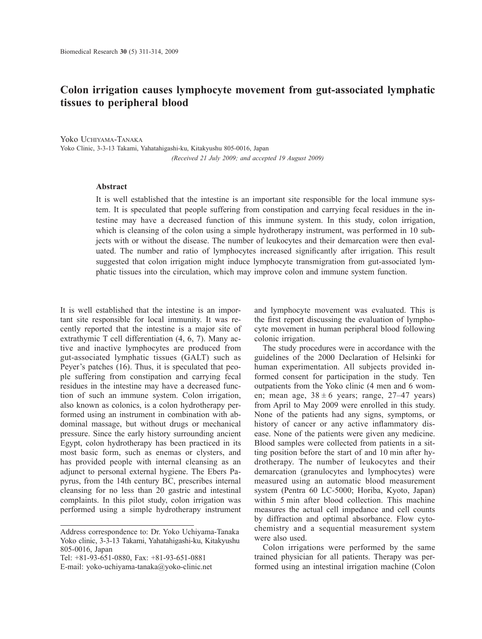## **Colon irrigation causes lymphocyte movement from gut-associated lymphatic tissues to peripheral blood**

Yoko UCHIYAMA-TANAKA Yoko Clinic, 3-3-13 Takami, Yahatahigashi-ku, Kitakyushu 805-0016, Japan *(Received 21 July 2009; and accepted 19 August 2009)*

## **Abstract**

It is well established that the intestine is an important site responsible for the local immune system. It is speculated that people suffering from constipation and carrying fecal residues in the intestine may have a decreased function of this immune system. In this study, colon irrigation, which is cleansing of the colon using a simple hydrotherapy instrument, was performed in 10 subjects with or without the disease. The number of leukocytes and their demarcation were then evaluated. The number and ratio of lymphocytes increased significantly after irrigation. This result suggested that colon irrigation might induce lymphocyte transmigration from gut-associated lymphatic tissues into the circulation, which may improve colon and immune system function.

It is well established that the intestine is an important site responsible for local immunity. It was recently reported that the intestine is a major site of extrathymic T cell differentiation (4, 6, 7). Many active and inactive lymphocytes are produced from gut-associated lymphatic tissues (GALT) such as Peyer's patches (16). Thus, it is speculated that people suffering from constipation and carrying fecal residues in the intestine may have a decreased function of such an immune system. Colon irrigation, also known as colonics, is a colon hydrotherapy performed using an instrument in combination with abdominal massage, but without drugs or mechanical pressure. Since the early history surrounding ancient Egypt, colon hydrotherapy has been practiced in its most basic form, such as enemas or clysters, and has provided people with internal cleansing as an adjunct to personal external hygiene. The Ebers Papyrus, from the 14th century BC, prescribes internal cleansing for no less than 20 gastric and intestinal complaints. In this pilot study, colon irrigation was performed using a simple hydrotherapy instrument

Tel: +81-93-651-0880, Fax: +81-93-651-0881

and lymphocyte movement was evaluated. This is the first report discussing the evaluation of lymphocyte movement in human peripheral blood following colonic irrigation.

The study procedures were in accordance with the guidelines of the 2000 Declaration of Helsinki for human experimentation. All subjects provided informed consent for participation in the study. Ten outpatients from the Yoko clinic (4 men and 6 women; mean age,  $38 \pm 6$  years; range,  $27-47$  years) from April to May 2009 were enrolled in this study. None of the patients had any signs, symptoms, or history of cancer or any active inflammatory disease. None of the patients were given any medicine. Blood samples were collected from patients in a sitting position before the start of and 10 min after hydrotherapy. The number of leukocytes and their demarcation (granulocytes and lymphocytes) were measured using an automatic blood measurement system (Pentra 60 LC-5000; Horiba, Kyoto, Japan) within 5 min after blood collection. This machine measures the actual cell impedance and cell counts by diffraction and optimal absorbance. Flow cytochemistry and a sequential measurement system were also used.

Colon irrigations were performed by the same trained physician for all patients. Therapy was performed using an intestinal irrigation machine (Colon

Address correspondence to: Dr. Yoko Uchiyama-Tanaka Yoko clinic, 3-3-13 Takami, Yahatahigashi-ku, Kitakyushu 805-0016, Japan

E-mail: yoko-uchiyama-tanaka@yoko-clinic.net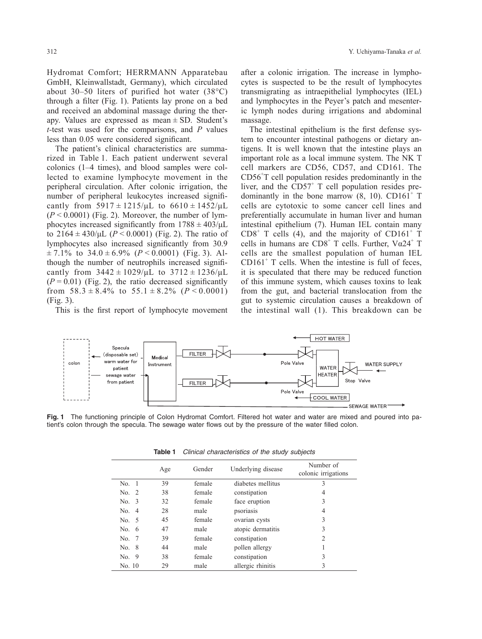Hydromat Comfort; HERRMANN Apparatebau GmbH, Kleinwallstadt, Germany), which circulated about 30–50 liters of purified hot water (38°C) through a filter (Fig. 1). Patients lay prone on a bed and received an abdominal massage during the therapy. Values are expressed as mean  $\pm$  SD. Student's *t-*test was used for the comparisons, and *P* values

less than 0.05 were considered significant. The patient's clinical characteristics are summarized in Table 1. Each patient underwent several colonics (1–4 times), and blood samples were collected to examine lymphocyte movement in the peripheral circulation. After colonic irrigation, the number of peripheral leukocytes increased significantly from  $5917 \pm 1215/\mu L$  to  $6610 \pm 1452/\mu L$  $(P < 0.0001)$  (Fig. 2). Moreover, the number of lymphocytes increased significantly from  $1788 \pm 403/\mu L$ to  $2164 \pm 430/\mu L$  ( $P < 0.0001$ ) (Fig. 2). The ratio of lymphocytes also increased significantly from 30.9  $\pm$  7.1% to 34.0  $\pm$  6.9% (*P* < 0.0001) (Fig. 3). Although the number of neutrophils increased signi cantly from  $3442 \pm 1029/\mu L$  to  $3712 \pm 1236/\mu L$  $(P = 0.01)$  (Fig. 2), the ratio decreased significantly from  $58.3 \pm 8.4\%$  to  $55.1 \pm 8.2\%$  ( $P < 0.0001$ ) (Fig. 3).

This is the first report of lymphocyte movement

after a colonic irrigation. The increase in lymphocytes is suspected to be the result of lymphocytes transmigrating as intraepithelial lymphocytes (IEL) and lymphocytes in the Peyer's patch and mesenteric lymph nodes during irrigations and abdominal massage.

The intestinal epithelium is the first defense system to encounter intestinal pathogens or dietary antigens. It is well known that the intestine plays an important role as a local immune system. The NK T cell markers are CD56, CD57, and CD161. The CD56<sup>+</sup> T cell population resides predominantly in the liver, and the  $CD57<sup>+</sup>$  T cell population resides predominantly in the bone marrow  $(8, 10)$ . CD161<sup>+</sup> T cells are cytotoxic to some cancer cell lines and preferentially accumulate in human liver and human intestinal epithelium (7). Human IEL contain many  $CDS<sup>+</sup>$  T cells (4), and the majority of  $CD161<sup>+</sup>$  T cells in humans are  $CD8^+$  T cells. Further,  $V\alpha 24^+$  T cells are the smallest population of human IEL  $CD161<sup>+</sup>$  T cells. When the intestine is full of feces, it is speculated that there may be reduced function of this immune system, which causes toxins to leak from the gut, and bacterial translocation from the gut to systemic circulation causes a breakdown of the intestinal wall (1). This breakdown can be



**Fig. 1** The functioning principle of Colon Hydromat Comfort. Filtered hot water and water are mixed and poured into patient's colon through the specula. The sewage water flows out by the pressure of the water filled colon.

|         | Age | Gender | Underlying disease | Number of<br>colonic irrigations |
|---------|-----|--------|--------------------|----------------------------------|
| No. 1   | 39  | female | diabetes mellitus  | 3                                |
| No. $2$ | 38  | female | constipation       | 4                                |
| No. 3   | 32  | female | face eruption      | 3                                |
| No. 4   | 28  | male   | psoriasis          | 4                                |
| No. 5   | 45  | female | ovarian cysts      | 3                                |
| No. $6$ | 47  | male   | atopic dermatitis  | 3                                |
| No. 7   | 39  | female | constipation       | 2                                |
| No. 8   | 44  | male   | pollen allergy     |                                  |
| No. 9   | 38  | female | constipation       | 3                                |
| No. 10  | 29  | male   | allergic rhinitis  | 3                                |

**Table 1** Clinical characteristics of the study subjects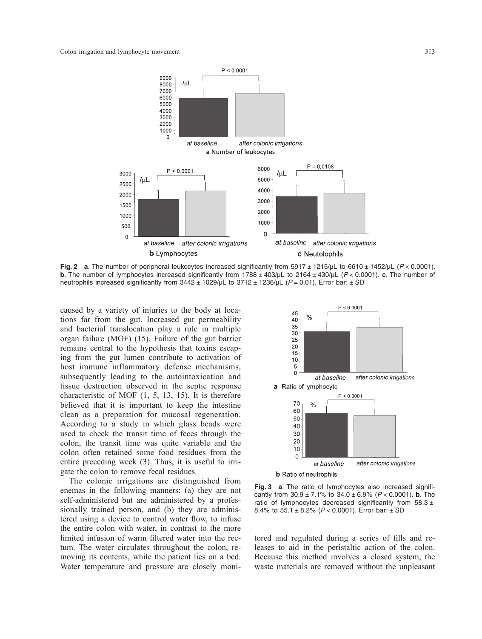

**Fig. 2 a**. The number of peripheral leukocytes increased significantly from  $5917 \pm 1215/\mu$ L to  $6610 \pm 1452/\mu$ L ( $P < 0.0001$ ). **b**. The number of lymphocytes increased significantly from 1788 ± 403/µL to 2164 ± 430/µL (P < 0.0001). **c**. The number of neutrophils increased significantly from  $3442 \pm 1029/\mu$ L to  $3712 \pm 1236/\mu$ L (P = 0.01). Error bar:  $\pm$  SD

caused by a variety of injuries to the body at locations far from the gut. Increased gut permeability and bacterial translocation play a role in multiple organ failure (MOF) (15). Failure of the gut barrier remains central to the hypothesis that toxins escaping from the gut lumen contribute to activation of host immune inflammatory defense mechanisms, subsequently leading to the autointoxication and tissue destruction observed in the septic response characteristic of MOF (1, 5, 13, 15). It is therefore believed that it is important to keep the intestine clean as a preparation for mucosal regeneration. According to a study in which glass beads were used to check the transit time of feces through the colon, the transit time was quite variable and the colon often retained some food residues from the entire preceding week (3). Thus, it is useful to irrigate the colon to remove fecal residues.

The colonic irrigations are distinguished from enemas in the following manners: (a) they are not self-administered but are administered by a professionally trained person, and (b) they are administered using a device to control water flow, to infuse the entire colon with water, in contrast to the more limited infusion of warm filtered water into the rectum. The water circulates throughout the colon, removing its contents, while the patient lies on a bed. Water temperature and pressure are closely moni-



**Fig. 3 a**. The ratio of lymphocytes also increased significantly from  $30.9 \pm 7.1\%$  to  $34.0 \pm 6.9\%$  ( $P < 0.0001$ ). **b**. The ratio of lymphocytes decreased significantly from  $58.3 \pm$ 8.4% to  $55.1 \pm 8.2$ % ( $P < 0.0001$ ). Error bar:  $\pm$  SD

tored and regulated during a series of fills and releases to aid in the peristaltic action of the colon. Because this method involves a closed system, the waste materials are removed without the unpleasant